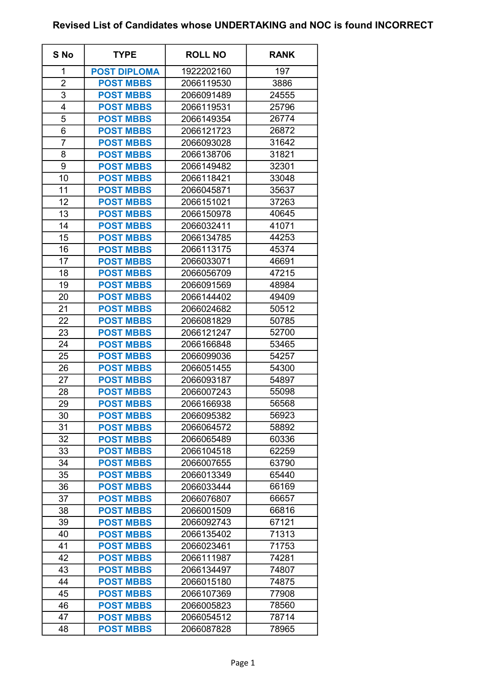## Revised List of Candidates whose UNDERTAKING and NOC is found INCORRECT

| S No           | <b>TYPE</b>         | <b>ROLL NO</b> | <b>RANK</b> |
|----------------|---------------------|----------------|-------------|
| 1              | <b>POST DIPLOMA</b> | 1922202160     | 197         |
| $\overline{2}$ | <b>POST MBBS</b>    | 2066119530     | 3886        |
| 3              | <b>POST MBBS</b>    | 2066091489     | 24555       |
| 4              | <b>POST MBBS</b>    | 2066119531     | 25796       |
| 5              | <b>POST MBBS</b>    | 2066149354     | 26774       |
| 6              | <b>POST MBBS</b>    | 2066121723     | 26872       |
| $\overline{7}$ | <b>POST MBBS</b>    | 2066093028     | 31642       |
| 8              | <b>POST MBBS</b>    | 2066138706     | 31821       |
| 9              | <b>POST MBBS</b>    | 2066149482     | 32301       |
| 10             | <b>POST MBBS</b>    | 2066118421     | 33048       |
| 11             | <b>POST MBBS</b>    | 2066045871     | 35637       |
| 12             | <b>POST MBBS</b>    | 2066151021     | 37263       |
| 13             | <b>POST MBBS</b>    | 2066150978     | 40645       |
| 14             | <b>POST MBBS</b>    | 2066032411     | 41071       |
| 15             | <b>POST MBBS</b>    | 2066134785     | 44253       |
| 16             | <b>POST MBBS</b>    | 2066113175     | 45374       |
| 17             | <b>POST MBBS</b>    | 2066033071     | 46691       |
| 18             | <b>POST MBBS</b>    | 2066056709     | 47215       |
| 19             | <b>POST MBBS</b>    | 2066091569     | 48984       |
| 20             | <b>POST MBBS</b>    | 2066144402     | 49409       |
| 21             | <b>POST MBBS</b>    | 2066024682     | 50512       |
| 22             | <b>POST MBBS</b>    | 2066081829     | 50785       |
| 23             | <b>POST MBBS</b>    | 2066121247     | 52700       |
| 24             | <b>POST MBBS</b>    | 2066166848     | 53465       |
| 25             | <b>POST MBBS</b>    | 2066099036     | 54257       |
| 26             | <b>POST MBBS</b>    | 2066051455     | 54300       |
| 27             | <b>POST MBBS</b>    | 2066093187     | 54897       |
| 28             | <b>POST MBBS</b>    | 2066007243     | 55098       |
| 29             | <b>POST MBBS</b>    | 2066166938     | 56568       |
| 30             | <b>POST MBBS</b>    | 2066095382     | 56923       |
| 31             | <b>POST MBBS</b>    | 2066064572     | 58892       |
| 32             | <b>POST MBBS</b>    | 2066065489     | 60336       |
| 33             | <b>POST MBBS</b>    | 2066104518     | 62259       |
| 34             | <b>POST MBBS</b>    | 2066007655     | 63790       |
| 35             | <b>POST MBBS</b>    | 2066013349     | 65440       |
| 36             | <b>POST MBBS</b>    | 2066033444     | 66169       |
| 37             | <b>POST MBBS</b>    | 2066076807     | 66657       |
| 38             | <b>POST MBBS</b>    | 2066001509     | 66816       |
| 39             | <b>POST MBBS</b>    | 2066092743     | 67121       |
| 40             | <b>POST MBBS</b>    | 2066135402     | 71313       |
| 41             | <b>POST MBBS</b>    | 2066023461     | 71753       |
| 42             | <b>POST MBBS</b>    | 2066111987     | 74281       |
| 43             | <b>POST MBBS</b>    | 2066134497     | 74807       |
| 44             | <b>POST MBBS</b>    | 2066015180     | 74875       |
| 45             | <b>POST MBBS</b>    | 2066107369     | 77908       |
| 46             | <b>POST MBBS</b>    | 2066005823     | 78560       |
| 47             | <b>POST MBBS</b>    | 2066054512     | 78714       |
| 48             | <b>POST MBBS</b>    | 2066087828     | 78965       |